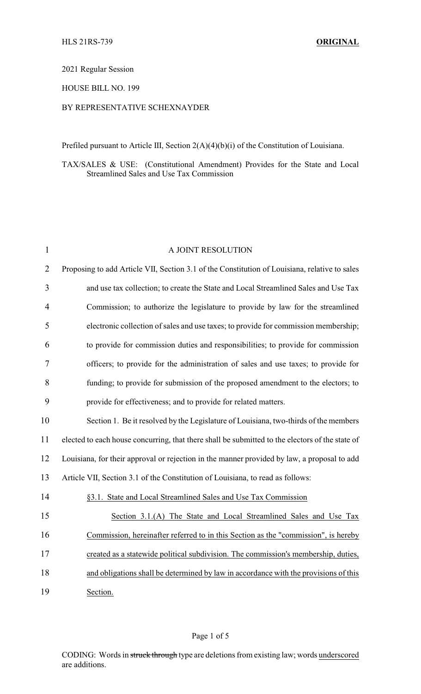## 2021 Regular Session

#### HOUSE BILL NO. 199

## BY REPRESENTATIVE SCHEXNAYDER

Prefiled pursuant to Article III, Section 2(A)(4)(b)(i) of the Constitution of Louisiana.

TAX/SALES & USE: (Constitutional Amendment) Provides for the State and Local Streamlined Sales and Use Tax Commission

| $\mathbf{1}$   | A JOINT RESOLUTION                                                                              |
|----------------|-------------------------------------------------------------------------------------------------|
| $\overline{2}$ | Proposing to add Article VII, Section 3.1 of the Constitution of Louisiana, relative to sales   |
| 3              | and use tax collection; to create the State and Local Streamlined Sales and Use Tax             |
| $\overline{4}$ | Commission; to authorize the legislature to provide by law for the streamlined                  |
| 5              | electronic collection of sales and use taxes; to provide for commission membership;             |
| 6              | to provide for commission duties and responsibilities; to provide for commission                |
| 7              | officers; to provide for the administration of sales and use taxes; to provide for              |
| 8              | funding; to provide for submission of the proposed amendment to the electors; to                |
| 9              | provide for effectiveness; and to provide for related matters.                                  |
| 10             | Section 1. Be it resolved by the Legislature of Louisiana, two-thirds of the members            |
| 11             | elected to each house concurring, that there shall be submitted to the electors of the state of |
| 12             | Louisiana, for their approval or rejection in the manner provided by law, a proposal to add     |
| 13             | Article VII, Section 3.1 of the Constitution of Louisiana, to read as follows:                  |
| 14             | §3.1. State and Local Streamlined Sales and Use Tax Commission                                  |
| 15             | Section 3.1.(A) The State and Local Streamlined Sales and Use Tax                               |
| 16             | Commission, hereinafter referred to in this Section as the "commission", is hereby              |
| 17             | created as a statewide political subdivision. The commission's membership, duties,              |
| 18             | and obligations shall be determined by law in accordance with the provisions of this            |
| 19             | Section.                                                                                        |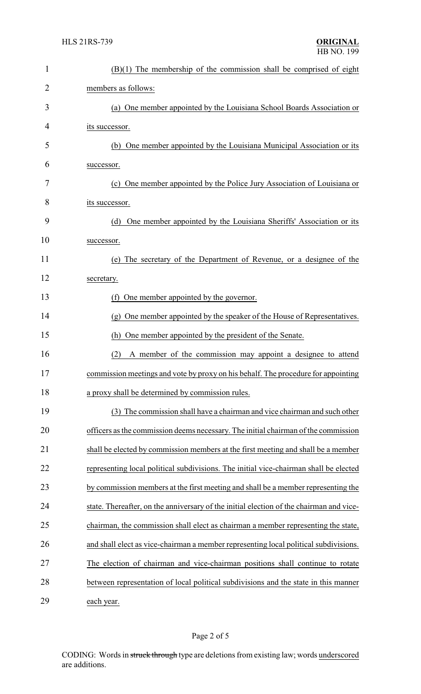| $\mathbf{1}$   | $(B)(1)$ The membership of the commission shall be comprised of eight                   |
|----------------|-----------------------------------------------------------------------------------------|
| $\overline{2}$ | members as follows:                                                                     |
| 3              | (a) One member appointed by the Louisiana School Boards Association or                  |
| 4              | its successor.                                                                          |
| 5              | (b) One member appointed by the Louisiana Municipal Association or its                  |
| 6              | successor.                                                                              |
| 7              | (c) One member appointed by the Police Jury Association of Louisiana or                 |
| 8              | its successor.                                                                          |
| 9              | One member appointed by the Louisiana Sheriffs' Association or its<br>(d)               |
| 10             | successor.                                                                              |
| 11             | (e) The secretary of the Department of Revenue, or a designee of the                    |
| 12             | secretary.                                                                              |
| 13             | (f) One member appointed by the governor.                                               |
| 14             | (g) One member appointed by the speaker of the House of Representatives.                |
| 15             | One member appointed by the president of the Senate.<br>(h)                             |
| 16             | A member of the commission may appoint a designee to attend<br>(2)                      |
| 17             | commission meetings and vote by proxy on his behalf. The procedure for appointing       |
| 18             | a proxy shall be determined by commission rules.                                        |
| 19             | (3) The commission shall have a chairman and vice chairman and such other               |
| 20             | officers as the commission deems necessary. The initial chairman of the commission      |
| 21             | shall be elected by commission members at the first meeting and shall be a member       |
| 22             | representing local political subdivisions. The initial vice-chairman shall be elected   |
| 23             | by commission members at the first meeting and shall be a member representing the       |
| 24             | state. Thereafter, on the anniversary of the initial election of the chairman and vice- |
| 25             | chairman, the commission shall elect as chairman a member representing the state,       |
| 26             | and shall elect as vice-chairman a member representing local political subdivisions.    |
| 27             | The election of chairman and vice-chairman positions shall continue to rotate           |
| 28             | between representation of local political subdivisions and the state in this manner     |
| 29             | each year.                                                                              |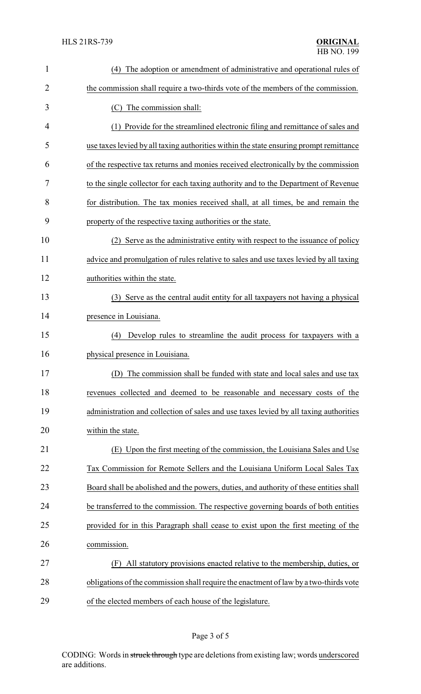| $\mathbf{1}$   | (4) The adoption or amendment of administrative and operational rules of               |
|----------------|----------------------------------------------------------------------------------------|
| $\overline{2}$ | the commission shall require a two-thirds vote of the members of the commission.       |
| 3              | The commission shall:<br>(C).                                                          |
| 4              | (1) Provide for the streamlined electronic filing and remittance of sales and          |
| 5              | use taxes levied by all taxing authorities within the state ensuring prompt remittance |
| 6              | of the respective tax returns and monies received electronically by the commission     |
| 7              | to the single collector for each taxing authority and to the Department of Revenue     |
| 8              | for distribution. The tax monies received shall, at all times, be and remain the       |
| 9              | property of the respective taxing authorities or the state.                            |
| 10             | (2) Serve as the administrative entity with respect to the issuance of policy          |
| 11             | advice and promulgation of rules relative to sales and use taxes levied by all taxing  |
| 12             | authorities within the state.                                                          |
| 13             | (3) Serve as the central audit entity for all taxpayers not having a physical          |
| 14             | presence in Louisiana.                                                                 |
| 15             | Develop rules to streamline the audit process for taxpayers with a<br>(4)              |
| 16             | physical presence in Louisiana.                                                        |
| 17             | (D) The commission shall be funded with state and local sales and use tax              |
| 18             | revenues collected and deemed to be reasonable and necessary costs of the              |
| 19             | administration and collection of sales and use taxes levied by all taxing authorities  |
| 20             | within the state.                                                                      |
| 21             | (E) Upon the first meeting of the commission, the Louisiana Sales and Use              |
| 22             | Tax Commission for Remote Sellers and the Louisiana Uniform Local Sales Tax            |
| 23             | Board shall be abolished and the powers, duties, and authority of these entities shall |
| 24             | be transferred to the commission. The respective governing boards of both entities     |
| 25             | provided for in this Paragraph shall cease to exist upon the first meeting of the      |
| 26             | commission.                                                                            |
| 27             | All statutory provisions enacted relative to the membership, duties, or<br>(F)         |
| 28             | obligations of the commission shall require the enactment of law by a two-thirds vote  |
| 29             | of the elected members of each house of the legislature.                               |

# Page 3 of 5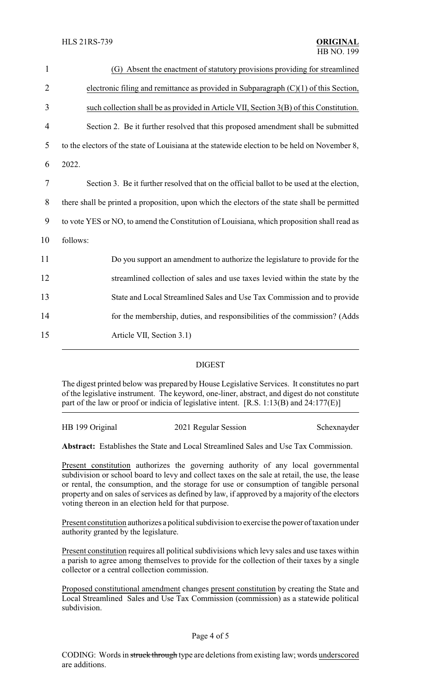| $\mathbf{1}$   | (G) Absent the enactment of statutory provisions providing for streamlined                    |
|----------------|-----------------------------------------------------------------------------------------------|
| $\overline{2}$ | electronic filing and remittance as provided in Subparagraph $(C)(1)$ of this Section,        |
| 3              | such collection shall be as provided in Article VII, Section 3(B) of this Constitution.       |
| 4              | Section 2. Be it further resolved that this proposed amendment shall be submitted             |
| 5              | to the electors of the state of Louisiana at the statewide election to be held on November 8, |
| 6              | 2022.                                                                                         |
| $\tau$         | Section 3. Be it further resolved that on the official ballot to be used at the election,     |
| 8              | there shall be printed a proposition, upon which the electors of the state shall be permitted |
| 9              | to vote YES or NO, to amend the Constitution of Louisiana, which proposition shall read as    |
| 10             | follows:                                                                                      |
| 11             | Do you support an amendment to authorize the legislature to provide for the                   |
| 12             | streamlined collection of sales and use taxes levied within the state by the                  |
| 13             | State and Local Streamlined Sales and Use Tax Commission and to provide                       |
| 14             | for the membership, duties, and responsibilities of the commission? (Adds                     |
| 15             | Article VII, Section 3.1)                                                                     |
|                |                                                                                               |

#### DIGEST

The digest printed below was prepared by House Legislative Services. It constitutes no part of the legislative instrument. The keyword, one-liner, abstract, and digest do not constitute part of the law or proof or indicia of legislative intent. [R.S. 1:13(B) and 24:177(E)]

| HB 199 Original | 2021 Regular Session | Schexnayder |
|-----------------|----------------------|-------------|
|                 |                      |             |

**Abstract:** Establishes the State and Local Streamlined Sales and Use Tax Commission.

Present constitution authorizes the governing authority of any local governmental subdivision or school board to levy and collect taxes on the sale at retail, the use, the lease or rental, the consumption, and the storage for use or consumption of tangible personal property and on sales of services as defined by law, if approved by a majority of the electors voting thereon in an election held for that purpose.

Present constitution authorizes a political subdivision to exercise the power of taxation under authority granted by the legislature.

Present constitution requires all political subdivisions which levy sales and use taxes within a parish to agree among themselves to provide for the collection of their taxes by a single collector or a central collection commission.

Proposed constitutional amendment changes present constitution by creating the State and Local Streamlined Sales and Use Tax Commission (commission) as a statewide political subdivision.